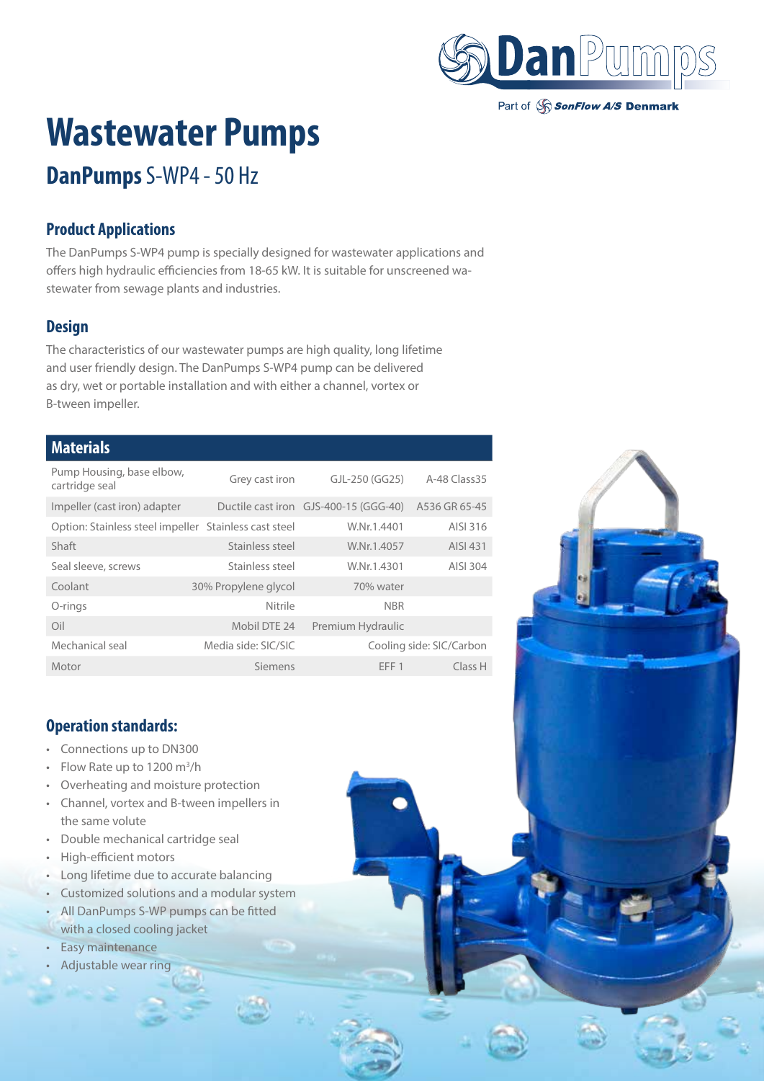

#### Part of SonFlow A/S Denmark

# **Wastewater Pumps**

# **DanPumps** S-WP4 - 50 Hz

### **Product Applications**

The DanPumps S-WP4 pump is specially designed for wastewater applications and offers high hydraulic efficiencies from 18-65 kW. It is suitable for unscreened wastewater from sewage plants and industries.

### **Design**

The characteristics of our wastewater pumps are high quality, long lifetime and user friendly design. The DanPumps S-WP4 pump can be delivered as dry, wet or portable installation and with either a channel, vortex or B-tween impeller.

#### **Materials**

| Pump Housing, base elbow,<br>cartridge seal           | Grey cast iron       | GJL-250 (GG25)                        | A-48 Class 35            |
|-------------------------------------------------------|----------------------|---------------------------------------|--------------------------|
| Impeller (cast iron) adapter                          |                      | Ductile cast iron GJS-400-15 (GGG-40) | A536 GR 65-45            |
| Option: Stainless steel impeller Stainless cast steel |                      | W.Nr.1.4401                           | AISI 316                 |
| Shaft                                                 | Stainless steel      | W.Nr.1.4057                           | AISI 431                 |
| Seal sleeve, screws                                   | Stainless steel      | W.Nr.1.4301                           | AISI 304                 |
| Coolant                                               | 30% Propylene glycol | 70% water                             |                          |
| O-rings                                               | Nitrile              | <b>NBR</b>                            |                          |
| Oil                                                   | Mobil DTE 24         | Premium Hydraulic                     |                          |
| Mechanical seal                                       | Media side: SIC/SIC  |                                       | Cooling side: SIC/Carbon |
| Motor                                                 | Siemens              | FFF <sub>1</sub>                      | Class H                  |

#### **Operation standards:**

- Connections up to DN300
- Flow Rate up to 1200  $\text{m}^3/\text{h}$
- Overheating and moisture protection • Channel, vortex and B-tween impellers in
- the same volute • Double mechanical cartridge seal
- High-efficient motors
- Long lifetime due to accurate balancing
- Customized solutions and a modular system
- All DanPumps S-WP pumps can be fitted with a closed cooling jacket
- Easy maintenance
- Adjustable wear ring